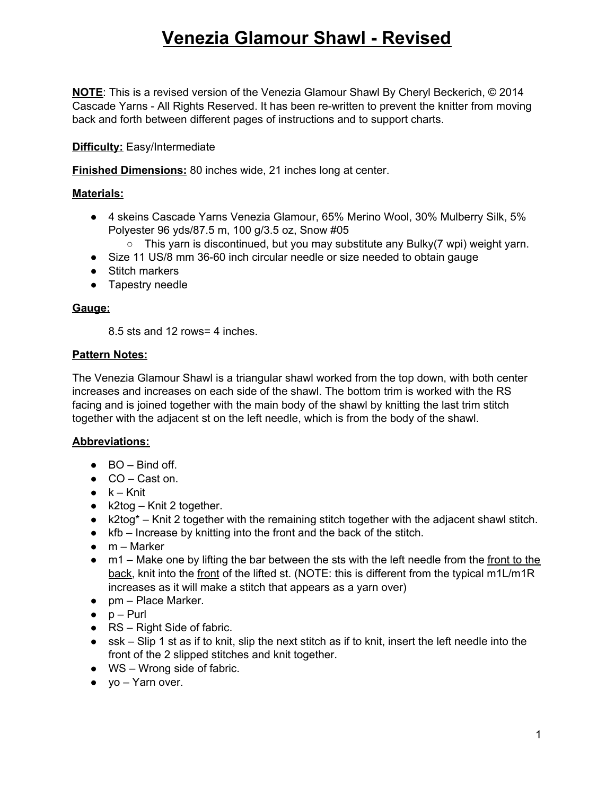**NOTE**: This is a revised version of the Venezia Glamour Shawl By Cheryl Beckerich, © 2014 Cascade Yarns - All Rights Reserved. It has been re-written to prevent the knitter from moving back and forth between different pages of instructions and to support charts.

#### **Difficulty:** Easy/Intermediate

**Finished Dimensions:** 80 inches wide, 21 inches long at center.

#### **Materials:**

- 4 skeins Cascade Yarns Venezia Glamour, 65% Merino Wool, 30% Mulberry Silk, 5% Polyester 96 yds/87.5 m, 100 g/3.5 oz, Snow #05
	- This yarn is discontinued, but you may substitute any Bulky(7 wpi) weight yarn.
- Size 11 US/8 mm 36-60 inch circular needle or size needed to obtain gauge
- Stitch markers
- Tapestry needle

#### **Gauge:**

8.5 sts and 12 rows= 4 inches.

#### **Pattern Notes:**

The Venezia Glamour Shawl is a triangular shawl worked from the top down, with both center increases and increases on each side of the shawl. The bottom trim is worked with the RS facing and is joined together with the main body of the shawl by knitting the last trim stitch together with the adjacent st on the left needle, which is from the body of the shawl.

#### **Abbreviations:**

- $\bullet$  BO Bind off.
- CO Cast on.
- $\bullet$   $k Knit$
- $k2$ tog Knit 2 together.
- k2tog\* Knit 2 together with the remaining stitch together with the adjacent shawl stitch.
- kfb Increase by knitting into the front and the back of the stitch.
- $\bullet$  m Marker
- $\bullet$  m1 Make one by lifting the bar between the sts with the left needle from the front to the back, knit into the front of the lifted st. (NOTE: this is different from the typical m1L/m1R increases as it will make a stitch that appears as a yarn over)
- pm Place Marker.
- $\bullet$  p Purl
- $\bullet$  RS Right Side of fabric.
- ssk Slip 1 st as if to knit, slip the next stitch as if to knit, insert the left needle into the front of the 2 slipped stitches and knit together.
- $\bullet$  WS Wrong side of fabric.
- $\bullet$  yo Yarn over.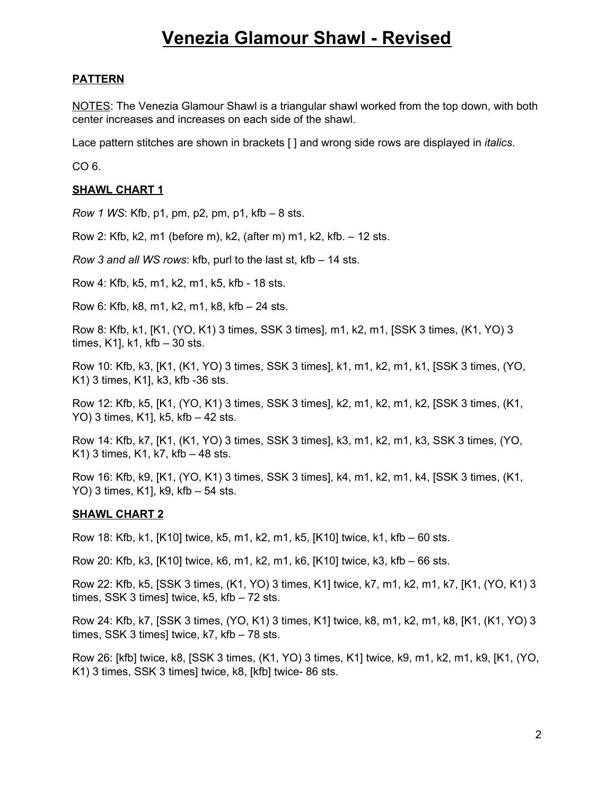#### **PATTERN**

NOTES: The Venezia Glamour Shawl is a triangular shawl worked from the top down, with both center increases and increases on each side of the shawl.

Lace pattern stitches are shown in brackets [ ] and wrong side rows are displayed in *italics*.

CO 6.

#### **SHAWL CHART 1**

*Row 1 WS*: Kfb, p1, pm, p2, pm, p1, kfb – 8 sts.

Row 2: Kfb, k2, m1 (before m), k2, (after m) m1, k2, kfb. – 12 sts.

*Row 3 and all WS rows*: kfb, purl to the last st, kfb – 14 sts.

Row 4: Kfb, k5, m1, k2, m1, k5, kfb - 18 sts.

Row 6: Kfb, k8, m1, k2, m1, k8, kfb – 24 sts.

Row 8: Kfb, k1, [K1, (YO, K1) 3 times, SSK 3 times], m1, k2, m1, [SSK 3 times, (K1, YO) 3 times, K1], k1, kfb – 30 sts.

Row 10: Kfb, k3, [K1, (K1, YO) 3 times, SSK 3 times], k1, m1, k2, m1, k1, [SSK 3 times, (YO, K1) 3 times, K1], k3, kfb -36 sts.

Row 12: Kfb, k5, [K1, (YO, K1) 3 times, SSK 3 times], k2, m1, k2, m1, k2, [SSK 3 times, (K1, YO) 3 times, K1], k5, kfb – 42 sts.

Row 14: Kfb, k7, [K1, (K1, YO) 3 times, SSK 3 times], k3, m1, k2, m1, k3, SSK 3 times, (YO, K1) 3 times, K1, k7, kfb  $-48$  sts.

Row 16: Kfb, k9, [K1, (YO, K1) 3 times, SSK 3 times], k4, m1, k2, m1, k4, [SSK 3 times, (K1, YO) 3 times, K1], k9, kfb – 54 sts.

#### **SHAWL CHART 2**

Row 18: Kfb, k1, [K10] twice, k5, m1, k2, m1, k5, [K10] twice, k1, kfb – 60 sts.

Row 20: Kfb, k3, [K10] twice, k6, m1, k2, m1, k6, [K10] twice, k3, kfb – 66 sts.

Row 22: Kfb, k5, [SSK 3 times, (K1, YO) 3 times, K1] twice, k7, m1, k2, m1, k7, [K1, (YO, K1) 3 times, SSK 3 times] twice, k5, kfb – 72 sts.

Row 24: Kfb, k7, [SSK 3 times, (YO, K1) 3 times, K1] twice, k8, m1, k2, m1, k8, [K1, (K1, YO) 3 times, SSK 3 times] twice, k7, kfb – 78 sts.

Row 26: [kfb] twice, k8, [SSK 3 times, (K1, YO) 3 times, K1] twice, k9, m1, k2, m1, k9, [K1, (YO, K1) 3 times, SSK 3 times] twice, k8, [kfb] twice- 86 sts.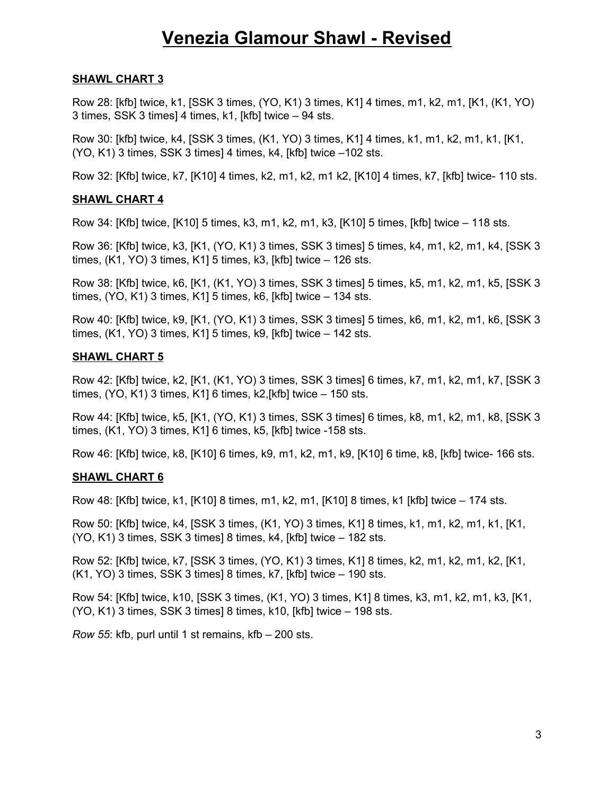#### **SHAWL CHART 3**

Row 28: [kfb] twice, k1, [SSK 3 times, (YO, K1) 3 times, K1] 4 times, m1, k2, m1, [K1, (K1, YO) 3 times, SSK 3 times] 4 times, k1, [kfb] twice – 94 sts.

Row 30: [kfb] twice, k4, [SSK 3 times, (K1, YO) 3 times, K1] 4 times, k1, m1, k2, m1, k1, [K1, (YO, K1) 3 times, SSK 3 times] 4 times, k4, [kfb] twice –102 sts.

Row 32: [Kfb] twice, k7, [K10] 4 times, k2, m1, k2, m1 k2, [K10] 4 times, k7, [kfb] twice- 110 sts.

#### **SHAWL CHART 4**

Row 34: [Kfb] twice, [K10] 5 times, k3, m1, k2, m1, k3, [K10] 5 times, [kfb] twice – 118 sts.

Row 36: [Kfb] twice, k3, [K1, (YO, K1) 3 times, SSK 3 times] 5 times, k4, m1, k2, m1, k4, [SSK 3 times, (K1, YO) 3 times, K1] 5 times, k3, [kfb] twice – 126 sts.

Row 38: [Kfb] twice, k6, [K1, (K1, YO) 3 times, SSK 3 times] 5 times, k5, m1, k2, m1, k5, [SSK 3 times, (YO, K1) 3 times, K1] 5 times, k6, [kfb] twice – 134 sts.

Row 40: [Kfb] twice, k9, [K1, (YO, K1) 3 times, SSK 3 times] 5 times, k6, m1, k2, m1, k6, [SSK 3 times, (K1, YO) 3 times, K1] 5 times, k9, [kfb] twice – 142 sts.

#### **SHAWL CHART 5**

Row 42: [Kfb] twice, k2, [K1, (K1, YO) 3 times, SSK 3 times] 6 times, k7, m1, k2, m1, k7, [SSK 3 times, (YO, K1) 3 times, K1] 6 times, k2,[kfb] twice – 150 sts.

Row 44: [Kfb] twice, k5, [K1, (YO, K1) 3 times, SSK 3 times] 6 times, k8, m1, k2, m1, k8, [SSK 3 times, (K1, YO) 3 times, K1] 6 times, k5, [kfb] twice -158 sts.

Row 46: [Kfb] twice, k8, [K10] 6 times, k9, m1, k2, m1, k9, [K10] 6 time, k8, [kfb] twice- 166 sts.

#### **SHAWL CHART 6**

Row 48: [Kfb] twice, k1, [K10] 8 times, m1, k2, m1, [K10] 8 times, k1 [kfb] twice – 174 sts.

Row 50: [Kfb] twice, k4, [SSK 3 times, (K1, YO) 3 times, K1] 8 times, k1, m1, k2, m1, k1, [K1, (YO, K1) 3 times, SSK 3 times] 8 times, k4, [kfb] twice – 182 sts.

Row 52: [Kfb] twice, k7, [SSK 3 times, (YO, K1) 3 times, K1] 8 times, k2, m1, k2, m1, k2, [K1, (K1, YO) 3 times, SSK 3 times] 8 times, k7, [kfb] twice – 190 sts.

Row 54: [Kfb] twice, k10, [SSK 3 times, (K1, YO) 3 times, K1] 8 times, k3, m1, k2, m1, k3, [K1, (YO, K1) 3 times, SSK 3 times] 8 times, k10, [kfb] twice – 198 sts.

*Row 55*: kfb, purl until 1 st remains, kfb – 200 sts.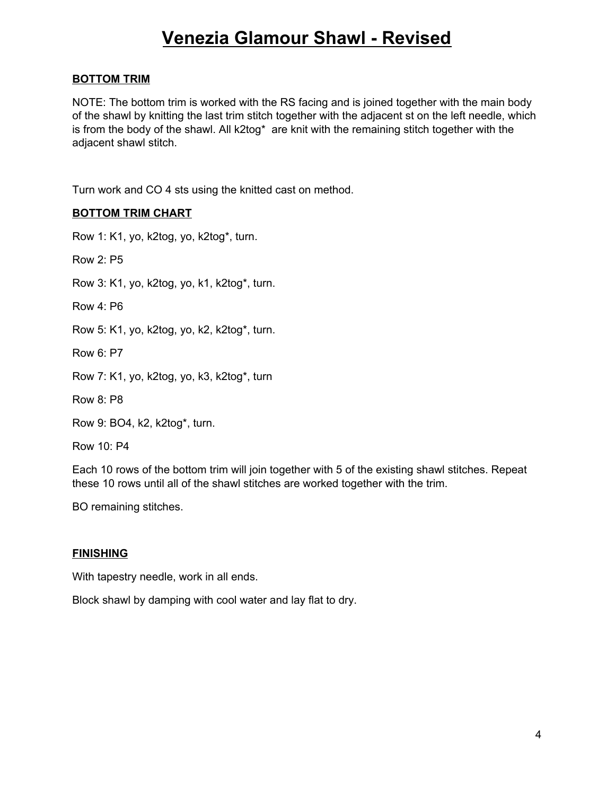#### **BOTTOM TRIM**

NOTE: The bottom trim is worked with the RS facing and is joined together with the main body of the shawl by knitting the last trim stitch together with the adjacent st on the left needle, which is from the body of the shawl. All k2tog\* are knit with the remaining stitch together with the adjacent shawl stitch.

Turn work and CO 4 sts using the knitted cast on method.

#### **BOTTOM TRIM CHART**

Row 1: K1, yo, k2tog, yo, k2tog\*, turn.

Row 2: P5

Row 3: K1, yo, k2tog, yo, k1, k2tog\*, turn.

Row 4: P6

Row 5: K1, yo, k2tog, yo, k2, k2tog\*, turn.

Row 6: P7

Row 7: K1, yo, k2tog, yo, k3, k2tog\*, turn

Row 8: P8

Row 9: BO4, k2, k2tog\*, turn.

Row 10: P4

Each 10 rows of the bottom trim will join together with 5 of the existing shawl stitches. Repeat these 10 rows until all of the shawl stitches are worked together with the trim.

BO remaining stitches.

#### **FINISHING**

With tapestry needle, work in all ends.

Block shawl by damping with cool water and lay flat to dry.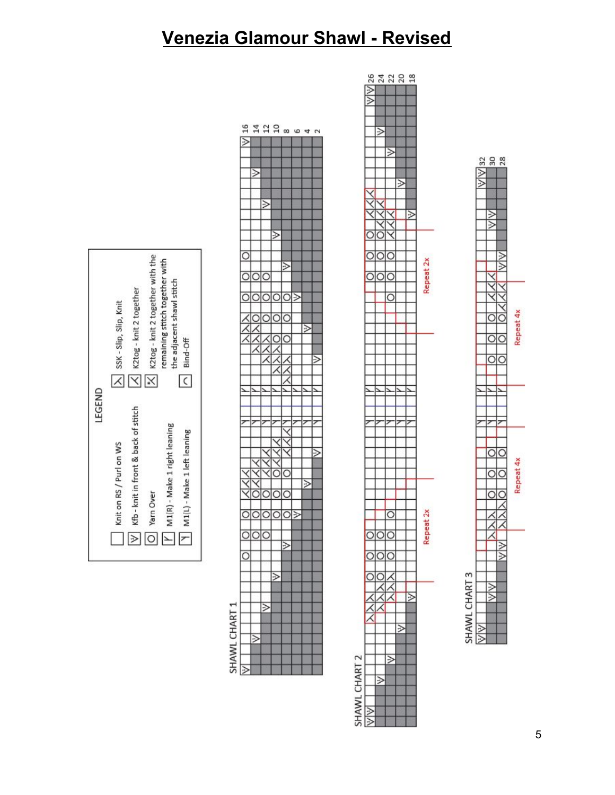

## SHAWL CHART 1

|                    |     |             |         |        | <b>珀 11 11 11 8 6 6 4 7</b> |   |
|--------------------|-----|-------------|---------|--------|-----------------------------|---|
| ≫                  |     |             |         |        |                             |   |
|                    |     |             |         |        |                             |   |
|                    |     |             |         |        |                             |   |
|                    | ⊵   |             |         |        |                             |   |
|                    |     |             |         |        |                             |   |
|                    |     |             |         |        |                             |   |
|                    |     | У           |         |        |                             |   |
|                    |     |             |         |        |                             |   |
|                    |     |             |         |        |                             |   |
|                    |     |             | ≫       |        |                             |   |
|                    |     |             |         |        |                             |   |
| $\overline{\circ}$ |     |             |         |        |                             |   |
|                    |     |             |         | $\geq$ |                             |   |
|                    |     | 이이          |         |        |                             |   |
|                    |     |             |         |        |                             |   |
| <u>স্</u>          |     | 이이이》        |         |        |                             |   |
|                    |     |             |         |        |                             |   |
|                    |     | O O O C     |         | ∋      |                             |   |
|                    |     |             |         |        | ≫                           |   |
|                    |     |             | $\circ$ | C      |                             |   |
|                    |     |             |         |        |                             |   |
|                    |     |             |         |        |                             | E |
|                    |     |             |         |        |                             |   |
|                    |     |             |         |        |                             |   |
|                    |     |             |         |        |                             |   |
|                    |     |             |         |        |                             |   |
|                    |     |             |         |        |                             |   |
|                    |     |             |         |        |                             |   |
|                    |     |             |         |        |                             |   |
|                    |     |             |         |        |                             |   |
|                    |     |             |         |        |                             | ⋗ |
|                    |     |             |         |        |                             |   |
|                    |     |             |         | C      |                             |   |
|                    |     |             |         |        | $\geq$                      |   |
|                    | C   | 이이이         |         |        |                             |   |
|                    |     |             |         |        |                             |   |
|                    |     | <b>DOOO</b> |         |        |                             |   |
|                    |     |             |         |        |                             |   |
|                    | 이이이 |             |         |        |                             |   |
|                    |     |             |         |        |                             |   |
| $\circ$            |     |             |         |        |                             |   |
|                    |     |             |         |        |                             |   |
|                    |     |             | ≥       |        |                             |   |
|                    |     |             |         |        |                             |   |
|                    |     |             |         |        |                             |   |
|                    |     | W           |         |        |                             |   |
|                    |     |             |         |        |                             |   |
|                    |     |             |         |        |                             |   |
|                    | ΣÎ  |             |         |        |                             |   |
|                    |     |             |         |        |                             |   |
|                    |     |             |         |        |                             |   |

# SHAWL CHART 2

|                                         | $\frac{1}{2}$                 |        |                              |   |                |                    |
|-----------------------------------------|-------------------------------|--------|------------------------------|---|----------------|--------------------|
|                                         |                               |        |                              |   |                |                    |
|                                         |                               |        |                              |   |                |                    |
|                                         |                               |        |                              |   |                |                    |
|                                         |                               | ঌ      |                              |   |                |                    |
|                                         |                               |        |                              |   |                |                    |
|                                         |                               |        | ঌ                            |   |                |                    |
|                                         |                               |        |                              |   |                |                    |
|                                         |                               |        |                              |   |                |                    |
|                                         |                               |        |                              |   |                |                    |
|                                         |                               |        |                              |   |                |                    |
|                                         |                               |        |                              |   |                |                    |
|                                         | XXX                           |        |                              |   |                |                    |
|                                         |                               |        |                              |   |                |                    |
|                                         |                               |        | Ĩ                            |   |                |                    |
|                                         |                               |        |                              |   |                |                    |
|                                         | ⅀<br>$\overline{\phantom{a}}$ | Ó      |                              |   |                |                    |
|                                         |                               |        |                              |   |                |                    |
|                                         | ⋝<br>$\overline{\phantom{a}}$ | J<br>C | ᠈<br>C                       |   |                |                    |
|                                         |                               |        |                              |   |                | Repeat 2x          |
|                                         |                               |        |                              |   |                |                    |
|                                         | )<br>Ó                        | J<br>C | $\zeta$<br>ℷ                 |   |                |                    |
|                                         |                               |        |                              |   |                |                    |
|                                         |                               |        | $\overline{\mathbf{C}}$<br>) |   |                |                    |
|                                         |                               |        |                              |   |                |                    |
|                                         |                               |        |                              |   |                |                    |
|                                         |                               |        |                              |   |                |                    |
|                                         |                               |        |                              |   |                |                    |
|                                         |                               |        |                              |   |                |                    |
|                                         |                               |        |                              |   |                |                    |
|                                         |                               |        |                              |   |                |                    |
|                                         |                               |        |                              |   |                |                    |
|                                         |                               |        |                              |   |                |                    |
|                                         |                               |        |                              |   |                |                    |
|                                         |                               |        |                              |   |                |                    |
|                                         |                               |        |                              |   |                |                    |
|                                         |                               |        |                              |   |                |                    |
|                                         |                               |        |                              |   |                |                    |
|                                         |                               |        |                              |   |                |                    |
|                                         |                               |        |                              |   |                |                    |
|                                         |                               |        |                              |   |                |                    |
|                                         |                               |        |                              |   |                |                    |
|                                         |                               |        |                              |   |                |                    |
|                                         |                               |        |                              |   |                |                    |
|                                         |                               |        |                              |   |                |                    |
|                                         |                               |        |                              |   |                |                    |
|                                         |                               |        |                              |   |                |                    |
|                                         |                               |        |                              |   |                |                    |
|                                         |                               |        |                              |   |                |                    |
|                                         |                               |        | $\overline{\mathbf{C}}$<br>) |   |                |                    |
|                                         |                               |        |                              |   |                |                    |
|                                         |                               |        |                              |   |                | peat <sub>2x</sub> |
|                                         | ж<br>C                        | DК     |                              |   |                |                    |
|                                         |                               |        |                              |   |                | <b>Re</b>          |
|                                         | $\overline{\circ}$            |        | ञे०                          |   |                |                    |
|                                         |                               |        |                              |   |                |                    |
|                                         |                               | ∋      |                              |   |                |                    |
|                                         | $\overline{O}C$               |        |                              |   |                |                    |
|                                         |                               |        |                              |   |                |                    |
|                                         |                               |        |                              |   | $\overline{ }$ |                    |
|                                         |                               |        |                              |   |                |                    |
|                                         |                               |        |                              |   |                |                    |
|                                         |                               |        |                              | ⋝ |                |                    |
|                                         |                               |        |                              |   |                |                    |
|                                         |                               |        |                              |   |                |                    |
|                                         |                               |        |                              |   |                |                    |
|                                         |                               |        | ⋝                            |   |                |                    |
|                                         |                               |        |                              |   |                |                    |
|                                         |                               | У      |                              |   |                |                    |
|                                         |                               |        |                              |   |                |                    |
|                                         |                               |        |                              |   |                |                    |
|                                         |                               |        |                              |   |                |                    |
| <br> <br> <br> <br> <br> <br> <br> <br> | WW                            |        |                              |   |                |                    |

22222